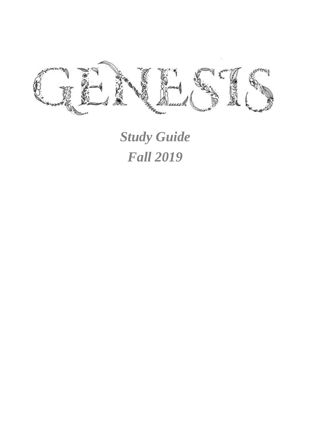

*Study Guide Fall 2019*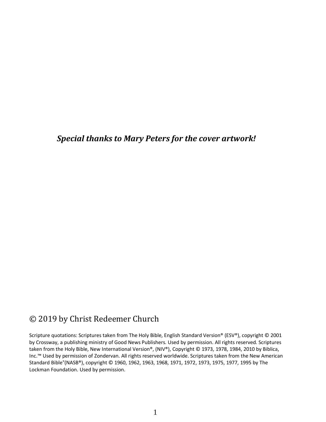*Special thanks to Mary Peters for the cover artwork!*

## © 2019 by Christ Redeemer Church

Scripture quotations: Scriptures taken from The Holy Bible, English Standard Version® (ESV®), copyright © 2001 by Crossway, a publishing ministry of Good News Publishers. Used by permission. All rights reserved. Scriptures taken from the Holy Bible, New International Version®, (NIV®), Copyright © 1973, 1978, 1984, 2010 by Biblica, Inc.™ Used by permission of Zondervan. All rights reserved worldwide. Scriptures taken from the New American Standard Bible®(NASB®), copyright © 1960, 1962, 1963, 1968, 1971, 1972, 1973, 1975, 1977, 1995 by The Lockman Foundation. Used by permission.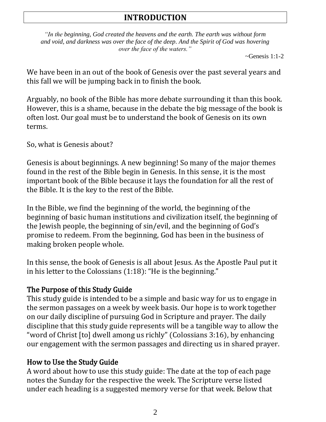# **INTRODUCTION**

*"In the beginning, God created the heavens and the earth. The earth was without form and void, and darkness was over the face of the deep. And the Spirit of God was hovering over the face of the waters."*

 $\sim$ Genesis 1:1-2

We have been in an out of the book of Genesis over the past several years and this fall we will be jumping back in to finish the book.

Arguably, no book of the Bible has more debate surrounding it than this book. However, this is a shame, because in the debate the big message of the book is often lost. Our goal must be to understand the book of Genesis on its own terms.

So, what is Genesis about?

Genesis is about beginnings. A new beginning! So many of the major themes found in the rest of the Bible begin in Genesis. In this sense, it is the most important book of the Bible because it lays the foundation for all the rest of the Bible. It is the key to the rest of the Bible.

In the Bible, we find the beginning of the world, the beginning of the beginning of basic human institutions and civilization itself, the beginning of the Jewish people, the beginning of sin/evil, and the beginning of God's promise to redeem. From the beginning, God has been in the business of making broken people whole.

In this sense, the book of Genesis is all about Jesus. As the Apostle Paul put it in his letter to the Colossians (1:18): "He is the beginning."

### The Purpose of this Study Guide

This study guide is intended to be a simple and basic way for us to engage in the sermon passages on a week by week basis. Our hope is to work together on our daily discipline of pursuing God in Scripture and prayer. The daily discipline that this study guide represents will be a tangible way to allow the "word of Christ [to] dwell among us richly" (Colossians 3:16), by enhancing our engagement with the sermon passages and directing us in shared prayer.

## How to Use the Study Guide

A word about how to use this study guide: The date at the top of each page notes the Sunday for the respective the week. The Scripture verse listed under each heading is a suggested memory verse for that week. Below that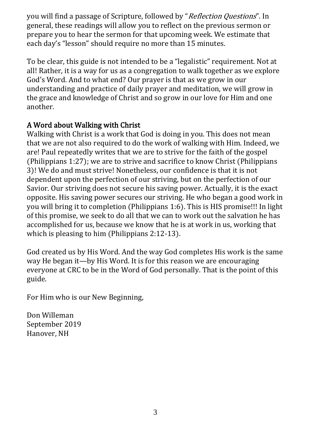you will find a passage of Scripture, followed by "Reflection Questions". In general, these readings will allow you to reflect on the previous sermon or prepare you to hear the sermon for that upcoming week. We estimate that each day's "lesson" should require no more than 15 minutes.

To be clear, this guide is not intended to be a "legalistic" requirement. Not at all! Rather, it is a way for us as a congregation to walk together as we explore God's Word. And to what end? Our prayer is that as we grow in our understanding and practice of daily prayer and meditation, we will grow in the grace and knowledge of Christ and so grow in our love for Him and one another.

## A Word about Walking with Christ

Walking with Christ is a work that God is doing in you. This does not mean that we are not also required to do the work of walking with Him. Indeed, we are! Paul repeatedly writes that we are to strive for the faith of the gospel (Philippians 1:27); we are to strive and sacrifice to know Christ (Philippians 3)! We do and must strive! Nonetheless, our confidence is that it is not dependent upon the perfection of our striving, but on the perfection of our Savior. Our striving does not secure his saving power. Actually, it is the exact opposite. His saving power secures our striving. He who began a good work in you will bring it to completion (Philippians 1:6). This is HIS promise!!! In light of this promise, we seek to do all that we can to work out the salvation he has accomplished for us, because we know that he is at work in us, working that which is pleasing to him (Philippians 2:12-13).

God created us by His Word. And the way God completes His work is the same way He began it—by His Word. It is for this reason we are encouraging everyone at CRC to be in the Word of God personally. That is the point of this guide.

For Him who is our New Beginning,

Don Willeman September 2019 Hanover, NH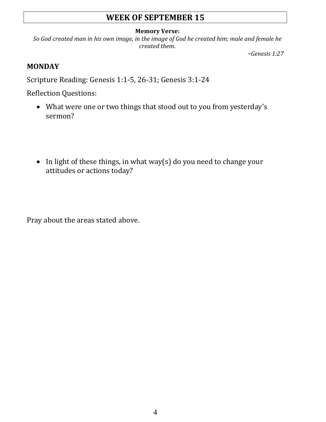# **WEEK OF SEPTEMBER 15**

#### **Memory Verse:**

*So God created man in his own image, in the image of God he created him; male and female he created them.*

*~Genesis 1:27*

## **MONDAY**

Scripture Reading: Genesis 1:1-5, 26-31; Genesis 3:1-24

Reflection Questions:

- What were one or two things that stood out to you from yesterday's sermon?
- In light of these things, in what way(s) do you need to change your attitudes or actions today?

Pray about the areas stated above.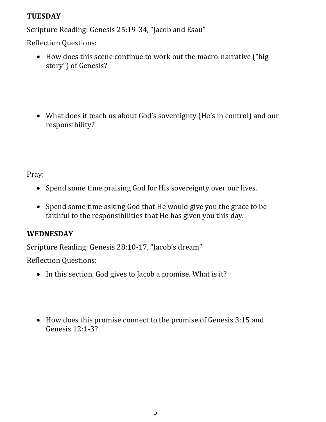## **TUESDAY**

Scripture Reading: Genesis 25:19-34, "Jacob and Esau"

Reflection Questions:

- How does this scene continue to work out the macro-narrative ("big story") of Genesis?
- What does it teach us about God's sovereignty (He's in control) and our responsibility?

Pray:

- Spend some time praising God for His sovereignty over our lives.
- Spend some time asking God that He would give you the grace to be faithful to the responsibilities that He has given you this day.

# **WEDNESDAY**

Scripture Reading: Genesis 28:10-17, "Jacob's dream"

Reflection Questions:

- In this section, God gives to Jacob a promise. What is it?
- How does this promise connect to the promise of Genesis 3:15 and Genesis 12:1-3?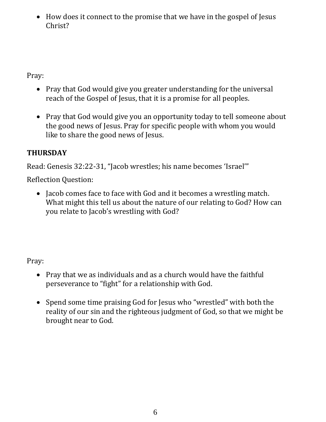• How does it connect to the promise that we have in the gospel of Jesus Christ?

Pray:

- Pray that God would give you greater understanding for the universal reach of the Gospel of Jesus, that it is a promise for all peoples.
- Pray that God would give you an opportunity today to tell someone about the good news of Jesus. Pray for specific people with whom you would like to share the good news of Jesus.

# **THURSDAY**

Read: Genesis 32:22-31, "Jacob wrestles; his name becomes 'Israel'"

Reflection Question:

• Jacob comes face to face with God and it becomes a wrestling match. What might this tell us about the nature of our relating to God? How can you relate to Jacob's wrestling with God?

- Pray that we as individuals and as a church would have the faithful perseverance to "fight" for a relationship with God.
- Spend some time praising God for Jesus who "wrestled" with both the reality of our sin and the righteous judgment of God, so that we might be brought near to God.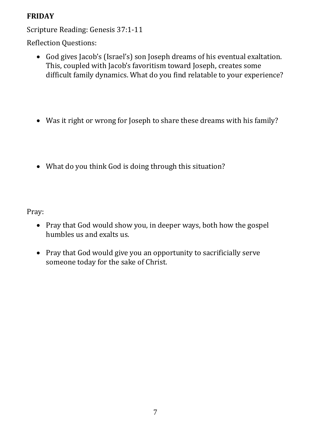## **FRIDAY**

Scripture Reading: Genesis 37:1-11

Reflection Questions:

- God gives Jacob's (Israel's) son Joseph dreams of his eventual exaltation. This, coupled with Jacob's favoritism toward Joseph, creates some difficult family dynamics. What do you find relatable to your experience?
- Was it right or wrong for Joseph to share these dreams with his family?
- What do you think God is doing through this situation?

- Pray that God would show you, in deeper ways, both how the gospel humbles us and exalts us.
- Pray that God would give you an opportunity to sacrificially serve someone today for the sake of Christ.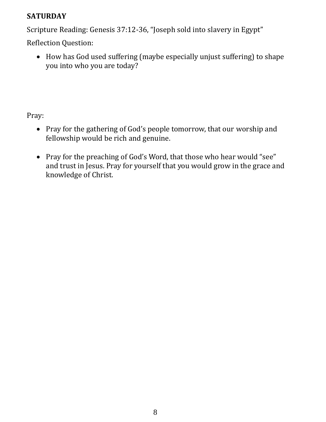## **SATURDAY**

Scripture Reading: Genesis 37:12-36, "Joseph sold into slavery in Egypt"

Reflection Question:

• How has God used suffering (maybe especially unjust suffering) to shape you into who you are today?

- Pray for the gathering of God's people tomorrow, that our worship and fellowship would be rich and genuine.
- Pray for the preaching of God's Word, that those who hear would "see" and trust in Jesus. Pray for yourself that you would grow in the grace and knowledge of Christ.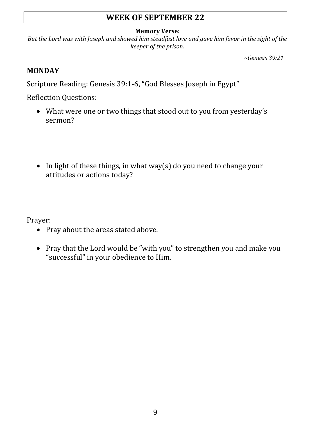# **WEEK OF SEPTEMBER 22**

#### **Memory Verse:**

*But the Lord was with Joseph and showed him steadfast love and gave him favor in the sight of the keeper of the prison.*

*~Genesis 39:21*

#### **MONDAY**

Scripture Reading: Genesis 39:1-6, "God Blesses Joseph in Egypt"

Reflection Questions:

- What were one or two things that stood out to you from yesterday's sermon?
- In light of these things, in what way(s) do you need to change your attitudes or actions today?

Prayer:

- Pray about the areas stated above.
- Pray that the Lord would be "with you" to strengthen you and make you "successful" in your obedience to Him.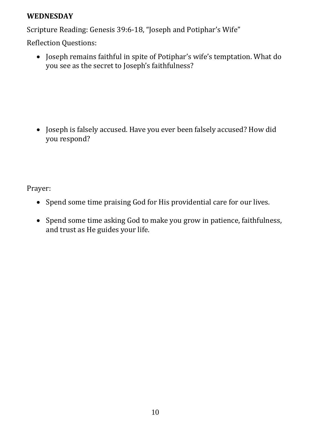#### **WEDNESDAY**

Scripture Reading: Genesis 39:6-18, "Joseph and Potiphar's Wife"

Reflection Questions:

• Joseph remains faithful in spite of Potiphar's wife's temptation. What do you see as the secret to Joseph's faithfulness?

• Joseph is falsely accused. Have you ever been falsely accused? How did you respond?

Prayer:

- Spend some time praising God for His providential care for our lives.
- Spend some time asking God to make you grow in patience, faithfulness, and trust as He guides your life.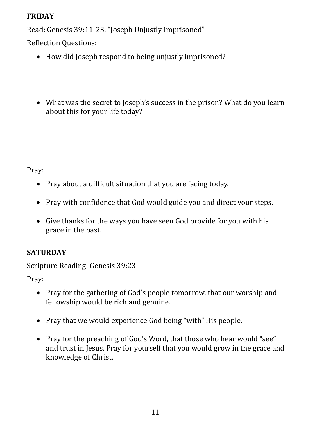## **FRIDAY**

Read: Genesis 39:11-23, "Joseph Unjustly Imprisoned"

Reflection Questions:

- How did Joseph respond to being unjustly imprisoned?
- What was the secret to Joseph's success in the prison? What do you learn about this for your life today?

Pray:

- Pray about a difficult situation that you are facing today.
- Pray with confidence that God would guide you and direct your steps.
- Give thanks for the ways you have seen God provide for you with his grace in the past.

# **SATURDAY**

Scripture Reading: Genesis 39:23

- Pray for the gathering of God's people tomorrow, that our worship and fellowship would be rich and genuine.
- Pray that we would experience God being "with" His people.
- Pray for the preaching of God's Word, that those who hear would "see" and trust in Jesus. Pray for yourself that you would grow in the grace and knowledge of Christ.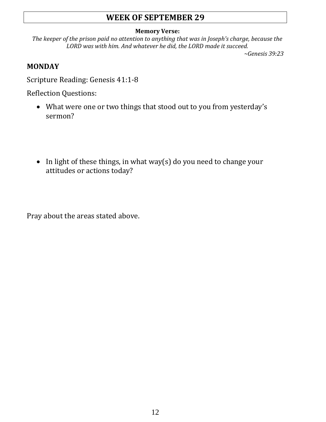# **WEEK OF SEPTEMBER 29**

#### **Memory Verse:**

*The keeper of the prison paid no attention to anything that was in Joseph's charge, because the LORD was with him. And whatever he did, the LORD made it succeed.*

*~Genesis 39:23*

## **MONDAY**

Scripture Reading: Genesis 41:1-8

Reflection Questions:

- What were one or two things that stood out to you from yesterday's sermon?
- In light of these things, in what way(s) do you need to change your attitudes or actions today?

Pray about the areas stated above.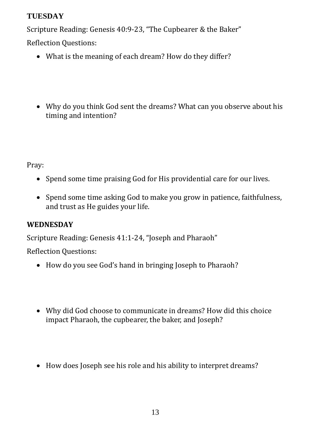## **TUESDAY**

Scripture Reading: Genesis 40:9-23, "The Cupbearer & the Baker"

Reflection Questions:

- What is the meaning of each dream? How do they differ?
- Why do you think God sent the dreams? What can you observe about his timing and intention?

Pray:

- Spend some time praising God for His providential care for our lives.
- Spend some time asking God to make you grow in patience, faithfulness, and trust as He guides your life.

# **WEDNESDAY**

Scripture Reading: Genesis 41:1-24, "Joseph and Pharaoh"

Reflection Questions:

- How do you see God's hand in bringing Joseph to Pharaoh?
- Why did God choose to communicate in dreams? How did this choice impact Pharaoh, the cupbearer, the baker, and Joseph?
- How does Joseph see his role and his ability to interpret dreams?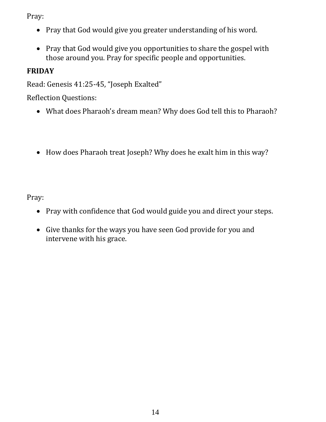Pray:

- Pray that God would give you greater understanding of his word.
- Pray that God would give you opportunities to share the gospel with those around you. Pray for specific people and opportunities.

# **FRIDAY**

Read: Genesis 41:25-45, "Joseph Exalted"

Reflection Questions:

- What does Pharaoh's dream mean? Why does God tell this to Pharaoh?
- How does Pharaoh treat Joseph? Why does he exalt him in this way?

- Pray with confidence that God would guide you and direct your steps.
- Give thanks for the ways you have seen God provide for you and intervene with his grace.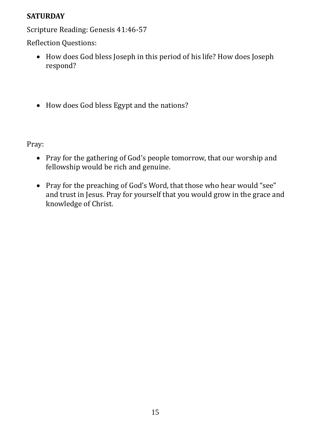## **SATURDAY**

Scripture Reading: Genesis 41:46-57

Reflection Questions:

- How does God bless Joseph in this period of his life? How does Joseph respond?
- How does God bless Egypt and the nations?

- Pray for the gathering of God's people tomorrow, that our worship and fellowship would be rich and genuine.
- Pray for the preaching of God's Word, that those who hear would "see" and trust in Jesus. Pray for yourself that you would grow in the grace and knowledge of Christ.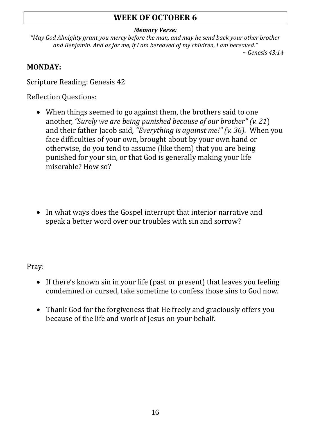# **WEEK OF OCTOBER 6**

#### *Memory Verse:*

*"May God Almighty grant you mercy before the man, and may he send back your other brother and Benjamin. And as for me, if I am bereaved of my children, I am bereaved."*

*~ Genesis 43:14*

### **MONDAY:**

Scripture Reading: Genesis 42

Reflection Questions:

- When things seemed to go against them, the brothers said to one another, *"Surely we are being punished because of our brother" (v. 21*) and their father Jacob said, *"Everything is against me!" (v. 36).* When you face difficulties of your own, brought about by your own hand or otherwise, do you tend to assume (like them) that you are being punished for your sin, or that God is generally making your life miserable? How so?
- In what ways does the Gospel interrupt that interior narrative and speak a better word over our troubles with sin and sorrow?

- If there's known sin in your life (past or present) that leaves you feeling condemned or cursed, take sometime to confess those sins to God now.
- Thank God for the forgiveness that He freely and graciously offers you because of the life and work of Jesus on your behalf.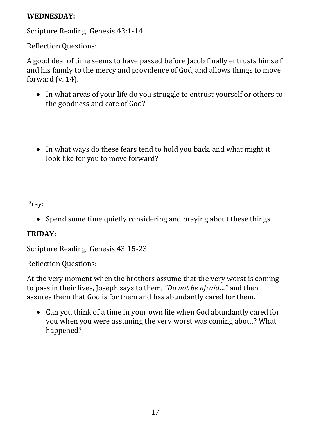### **WEDNESDAY:**

Scripture Reading: Genesis 43:1-14

Reflection Questions:

A good deal of time seems to have passed before Jacob finally entrusts himself and his family to the mercy and providence of God, and allows things to move forward (v. 14).

- In what areas of your life do you struggle to entrust yourself or others to the goodness and care of God?
- In what ways do these fears tend to hold you back, and what might it look like for you to move forward?

Pray:

• Spend some time quietly considering and praying about these things.

# **FRIDAY:**

Scripture Reading: Genesis 43:15-23

Reflection Questions:

At the very moment when the brothers assume that the very worst is coming to pass in their lives, Joseph says to them, *"Do not be afraid…"* and then assures them that God is for them and has abundantly cared for them.

• Can you think of a time in your own life when God abundantly cared for you when you were assuming the very worst was coming about? What happened?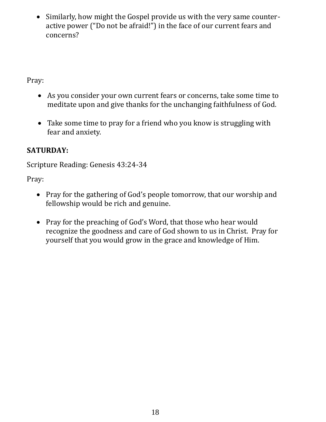• Similarly, how might the Gospel provide us with the very same counteractive power ("Do not be afraid!") in the face of our current fears and concerns?

Pray:

- As you consider your own current fears or concerns, take some time to meditate upon and give thanks for the unchanging faithfulness of God.
- Take some time to pray for a friend who you know is struggling with fear and anxiety.

# **SATURDAY:**

Scripture Reading: Genesis 43:24-34

- Pray for the gathering of God's people tomorrow, that our worship and fellowship would be rich and genuine.
- Pray for the preaching of God's Word, that those who hear would recognize the goodness and care of God shown to us in Christ. Pray for yourself that you would grow in the grace and knowledge of Him.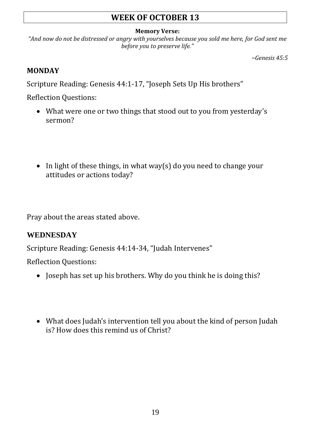# **WEEK OF OCTOBER 13**

#### **Memory Verse:**

*"And now do not be distressed or angry with yourselves because you sold me here, for God sent me before you to preserve life."*

*~Genesis 45:5*

#### **MONDAY**

Scripture Reading: Genesis 44:1-17, "Joseph Sets Up His brothers"

Reflection Questions:

- What were one or two things that stood out to you from yesterday's sermon?
- In light of these things, in what way(s) do you need to change your attitudes or actions today?

Pray about the areas stated above.

### **WEDNESDAY**

Scripture Reading: Genesis 44:14-34, "Judah Intervenes"

Reflection Questions:

- Joseph has set up his brothers. Why do you think he is doing this?
- What does Judah's intervention tell you about the kind of person Judah is? How does this remind us of Christ?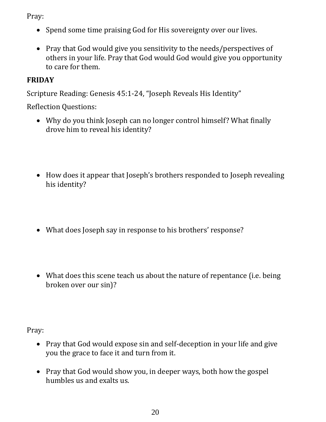Pray:

- Spend some time praising God for His sovereignty over our lives.
- Pray that God would give you sensitivity to the needs/perspectives of others in your life. Pray that God would God would give you opportunity to care for them.

# **FRIDAY**

Scripture Reading: Genesis 45:1-24, "Joseph Reveals His Identity"

Reflection Questions:

- Why do you think Joseph can no longer control himself? What finally drove him to reveal his identity?
- How does it appear that Joseph's brothers responded to Joseph revealing his identity?
- What does Joseph say in response to his brothers' response?
- What does this scene teach us about the nature of repentance (i.e. being broken over our sin)?

- Pray that God would expose sin and self-deception in your life and give you the grace to face it and turn from it.
- Pray that God would show you, in deeper ways, both how the gospel humbles us and exalts us.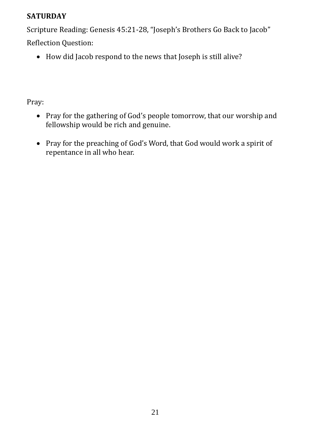## **SATURDAY**

Scripture Reading: Genesis 45:21-28, "Joseph's Brothers Go Back to Jacob" Reflection Question:

• How did Jacob respond to the news that Joseph is still alive?

- Pray for the gathering of God's people tomorrow, that our worship and fellowship would be rich and genuine.
- Pray for the preaching of God's Word, that God would work a spirit of repentance in all who hear.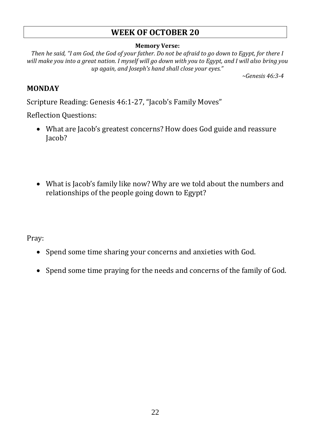## **WEEK OF OCTOBER 20**

#### **Memory Verse:**

*Then he said, "I am God, the God of your father. Do not be afraid to go down to Egypt, for there I will make you into a great nation. I myself will go down with you to Egypt, and I will also bring you up again, and Joseph's hand shall close your eyes."*

*~Genesis 46:3-4*

### **MONDAY**

Scripture Reading: Genesis 46:1-27, "Jacob's Family Moves"

Reflection Questions:

- What are Jacob's greatest concerns? How does God guide and reassure Jacob?
- What is Jacob's family like now? Why are we told about the numbers and relationships of the people going down to Egypt?

- Spend some time sharing your concerns and anxieties with God.
- Spend some time praying for the needs and concerns of the family of God.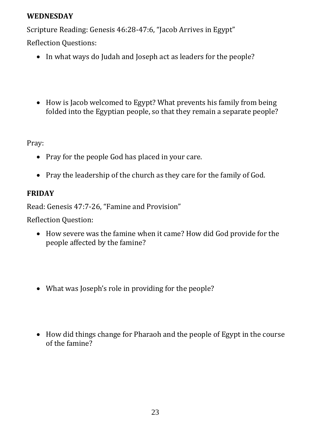#### **WEDNESDAY**

Scripture Reading: Genesis 46:28-47:6, "Jacob Arrives in Egypt"

Reflection Questions:

- In what ways do Judah and Joseph act as leaders for the people?
- How is Jacob welcomed to Egypt? What prevents his family from being folded into the Egyptian people, so that they remain a separate people?

Pray:

- Pray for the people God has placed in your care.
- Pray the leadership of the church as they care for the family of God.

# **FRIDAY**

Read: Genesis 47:7-26, "Famine and Provision"

Reflection Question:

- How severe was the famine when it came? How did God provide for the people affected by the famine?
- What was Joseph's role in providing for the people?
- How did things change for Pharaoh and the people of Egypt in the course of the famine?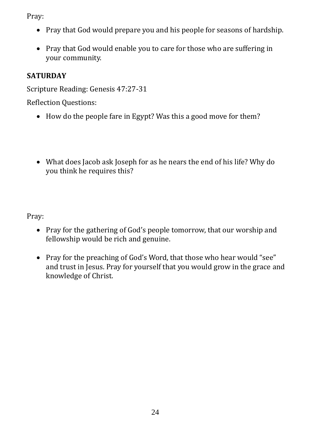Pray:

- Pray that God would prepare you and his people for seasons of hardship.
- Pray that God would enable you to care for those who are suffering in your community.

# **SATURDAY**

Scripture Reading: Genesis 47:27-31

Reflection Questions:

- How do the people fare in Egypt? Was this a good move for them?
- What does Jacob ask Joseph for as he nears the end of his life? Why do you think he requires this?

- Pray for the gathering of God's people tomorrow, that our worship and fellowship would be rich and genuine.
- Pray for the preaching of God's Word, that those who hear would "see" and trust in Jesus. Pray for yourself that you would grow in the grace and knowledge of Christ.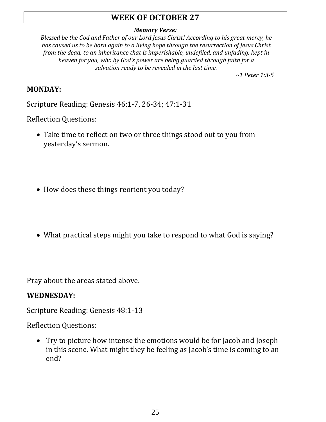# **WEEK OF OCTOBER 27**

#### *Memory Verse:*

*Blessed be the God and Father of our Lord Jesus Christ! According to his great mercy, he has caused us to be born again to a living hope through the resurrection of Jesus Christ from the dead, to an inheritance that is imperishable, undefiled, and unfading, kept in heaven for you, who by God's power are being guarded through faith for a salvation ready to be revealed in the last time.*

*~1 Peter 1:3-5*

#### **MONDAY:**

Scripture Reading: Genesis 46:1-7, 26-34; 47:1-31

Reflection Questions:

- Take time to reflect on two or three things stood out to you from yesterday's sermon.
- How does these things reorient you today?
- What practical steps might you take to respond to what God is saying?

Pray about the areas stated above.

#### **WEDNESDAY:**

Scripture Reading: Genesis 48:1-13

Reflection Questions:

• Try to picture how intense the emotions would be for Jacob and Joseph in this scene. What might they be feeling as Jacob's time is coming to an end?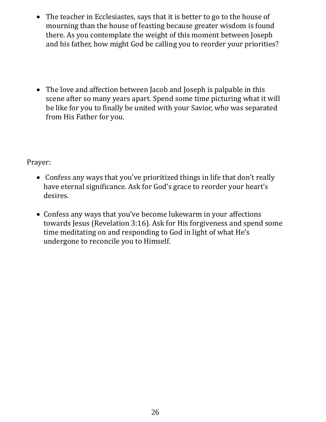- The teacher in Ecclesiastes, says that it is better to go to the house of mourning than the house of feasting because greater wisdom is found there. As you contemplate the weight of this moment between Joseph and his father, how might God be calling you to reorder your priorities?
- The love and affection between Jacob and Joseph is palpable in this scene after so many years apart. Spend some time picturing what it will be like for you to finally be united with your Savior, who was separated from His Father for you.

Prayer:

- Confess any ways that you've prioritized things in life that don't really have eternal significance. Ask for God's grace to reorder your heart's desires.
- Confess any ways that you've become lukewarm in your affections towards Jesus (Revelation 3:16). Ask for His forgiveness and spend some time meditating on and responding to God in light of what He's undergone to reconcile you to Himself.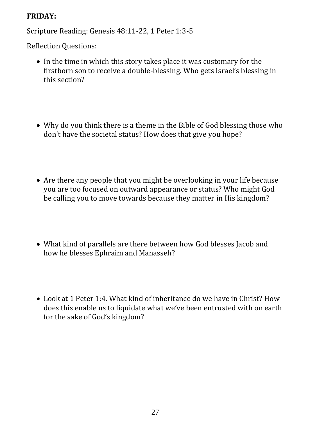#### **FRIDAY:**

Scripture Reading: Genesis 48:11-22, 1 Peter 1:3-5

Reflection Questions:

- In the time in which this story takes place it was customary for the firstborn son to receive a double-blessing. Who gets Israel's blessing in this section?
- Why do you think there is a theme in the Bible of God blessing those who don't have the societal status? How does that give you hope?
- Are there any people that you might be overlooking in your life because you are too focused on outward appearance or status? Who might God be calling you to move towards because they matter in His kingdom?
- What kind of parallels are there between how God blesses Jacob and how he blesses Ephraim and Manasseh?
- Look at 1 Peter 1:4. What kind of inheritance do we have in Christ? How does this enable us to liquidate what we've been entrusted with on earth for the sake of God's kingdom?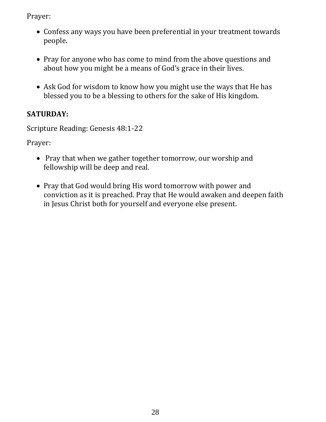Prayer:

- Confess any ways you have been preferential in your treatment towards people.
- Pray for anyone who has come to mind from the above questions and about how you might be a means of God's grace in their lives.
- Ask God for wisdom to know how you might use the ways that He has blessed you to be a blessing to others for the sake of His kingdom.

# **SATURDAY:**

Scripture Reading: Genesis 48:1-22

Prayer:

- Pray that when we gather together tomorrow, our worship and fellowship will be deep and real.
- Pray that God would bring His word tomorrow with power and conviction as it is preached. Pray that He would awaken and deepen faith in Jesus Christ both for yourself and everyone else present.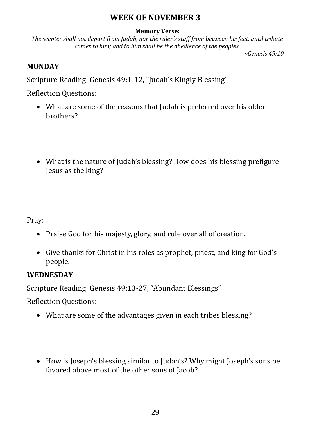# **WEEK OF NOVEMBER 3**

#### **Memory Verse:**

*The scepter shall not depart from Judah, nor the ruler's staff from between his feet, until tribute comes to him; and to him shall be the obedience of the peoples.*

*~Genesis 49:10*

## **MONDAY**

Scripture Reading: Genesis 49:1-12, "Judah's Kingly Blessing"

Reflection Questions:

- What are some of the reasons that Judah is preferred over his older brothers?
- What is the nature of Judah's blessing? How does his blessing prefigure Jesus as the king?

Pray:

- Praise God for his majesty, glory, and rule over all of creation.
- Give thanks for Christ in his roles as prophet, priest, and king for God's people.

# **WEDNESDAY**

Scripture Reading: Genesis 49:13-27, "Abundant Blessings"

Reflection Questions:

- What are some of the advantages given in each tribes blessing?
- How is Joseph's blessing similar to Judah's? Why might Joseph's sons be favored above most of the other sons of Jacob?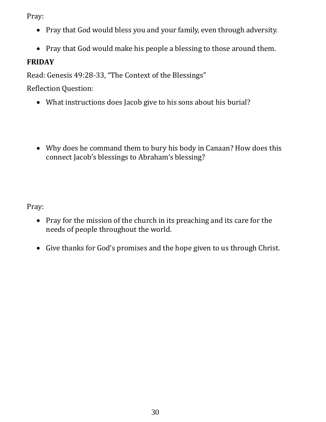Pray:

- Pray that God would bless you and your family, even through adversity.
- Pray that God would make his people a blessing to those around them.

# **FRIDAY**

Read: Genesis 49:28-33, "The Context of the Blessings"

Reflection Question:

- What instructions does Jacob give to his sons about his burial?
- Why does he command them to bury his body in Canaan? How does this connect Jacob's blessings to Abraham's blessing?

- Pray for the mission of the church in its preaching and its care for the needs of people throughout the world.
- Give thanks for God's promises and the hope given to us through Christ.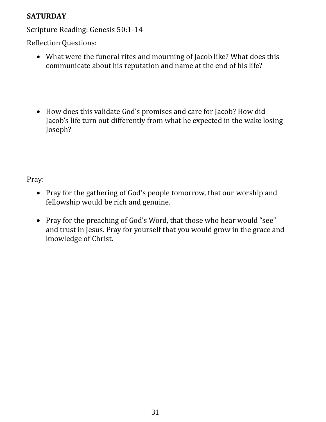# **SATURDAY**

Scripture Reading: Genesis 50:1-14

Reflection Questions:

- What were the funeral rites and mourning of Jacob like? What does this communicate about his reputation and name at the end of his life?
- How does this validate God's promises and care for Jacob? How did Jacob's life turn out differently from what he expected in the wake losing Joseph?

- Pray for the gathering of God's people tomorrow, that our worship and fellowship would be rich and genuine.
- Pray for the preaching of God's Word, that those who hear would "see" and trust in Jesus. Pray for yourself that you would grow in the grace and knowledge of Christ.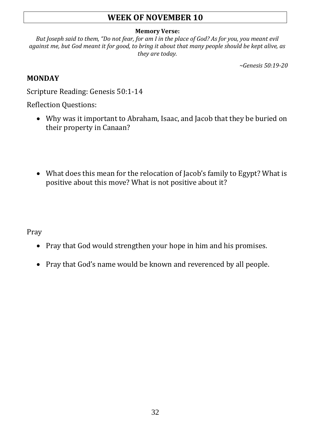# **WEEK OF NOVEMBER 10**

#### **Memory Verse:**

*But Joseph said to them, "Do not fear, for am I in the place of God? As for you, you meant evil against me, but God meant it for good, to bring it about that many people should be kept alive, as they are today.*

*~Genesis 50:19-20*

#### **MONDAY**

Scripture Reading: Genesis 50:1-14

Reflection Questions:

- Why was it important to Abraham, Isaac, and Jacob that they be buried on their property in Canaan?
- What does this mean for the relocation of Jacob's family to Egypt? What is positive about this move? What is not positive about it?

Pray

- Pray that God would strengthen your hope in him and his promises.
- Pray that God's name would be known and reverenced by all people.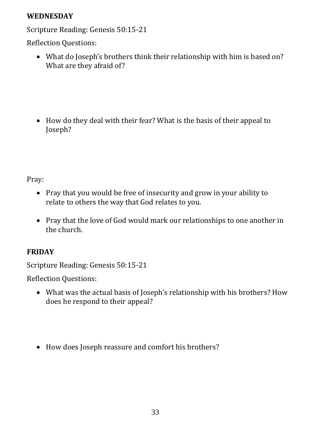### **WEDNESDAY**

Scripture Reading: Genesis 50:15-21

Reflection Questions:

• What do Joseph's brothers think their relationship with him is based on? What are they afraid of?

• How do they deal with their fear? What is the basis of their appeal to Joseph?

Pray:

- Pray that you would be free of insecurity and grow in your ability to relate to others the way that God relates to you.
- Pray that the love of God would mark our relationships to one another in the church.

# **FRIDAY**

Scripture Reading: Genesis 50:15-21

Reflection Questions:

- What was the actual basis of Joseph's relationship with his brothers? How does he respond to their appeal?
- How does Joseph reassure and comfort his brothers?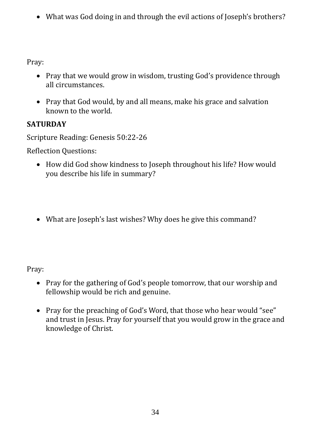• What was God doing in and through the evil actions of Joseph's brothers?

Pray:

- Pray that we would grow in wisdom, trusting God's providence through all circumstances.
- Pray that God would, by and all means, make his grace and salvation known to the world.

# **SATURDAY**

Scripture Reading: Genesis 50:22-26

Reflection Questions:

- How did God show kindness to Joseph throughout his life? How would you describe his life in summary?
- What are Joseph's last wishes? Why does he give this command?

- Pray for the gathering of God's people tomorrow, that our worship and fellowship would be rich and genuine.
- Pray for the preaching of God's Word, that those who hear would "see" and trust in Jesus. Pray for yourself that you would grow in the grace and knowledge of Christ.